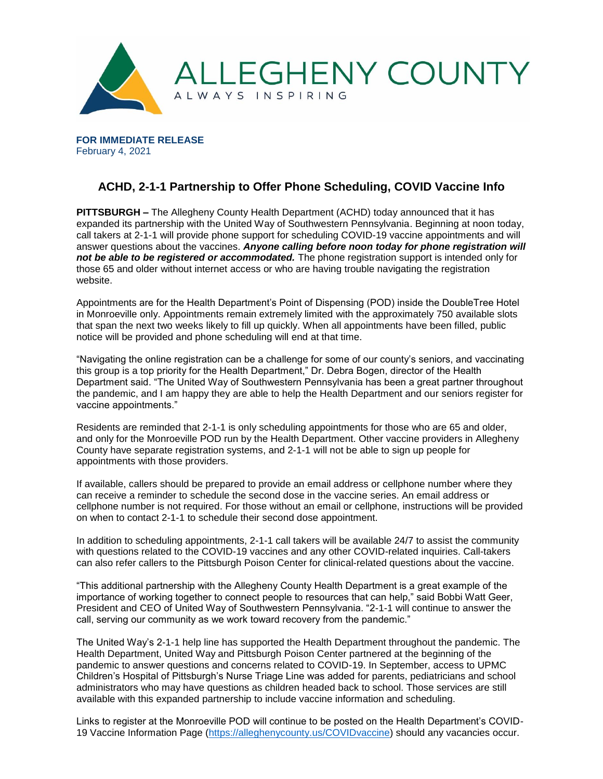

**FOR IMMEDIATE RELEASE** February 4, 2021

## **ACHD, 2-1-1 Partnership to Offer Phone Scheduling, COVID Vaccine Info**

**PITTSBURGH –** The Allegheny County Health Department (ACHD) today announced that it has expanded its partnership with the United Way of Southwestern Pennsylvania. Beginning at noon today, call takers at 2-1-1 will provide phone support for scheduling COVID-19 vaccine appointments and will answer questions about the vaccines. *Anyone calling before noon today for phone registration will not be able to be registered or accommodated.* The phone registration support is intended only for those 65 and older without internet access or who are having trouble navigating the registration website.

Appointments are for the Health Department's Point of Dispensing (POD) inside the DoubleTree Hotel in Monroeville only. Appointments remain extremely limited with the approximately 750 available slots that span the next two weeks likely to fill up quickly. When all appointments have been filled, public notice will be provided and phone scheduling will end at that time.

"Navigating the online registration can be a challenge for some of our county's seniors, and vaccinating this group is a top priority for the Health Department," Dr. Debra Bogen, director of the Health Department said. "The United Way of Southwestern Pennsylvania has been a great partner throughout the pandemic, and I am happy they are able to help the Health Department and our seniors register for vaccine appointments."

Residents are reminded that 2-1-1 is only scheduling appointments for those who are 65 and older, and only for the Monroeville POD run by the Health Department. Other vaccine providers in Allegheny County have separate registration systems, and 2-1-1 will not be able to sign up people for appointments with those providers.

If available, callers should be prepared to provide an email address or cellphone number where they can receive a reminder to schedule the second dose in the vaccine series. An email address or cellphone number is not required. For those without an email or cellphone, instructions will be provided on when to contact 2-1-1 to schedule their second dose appointment.

In addition to scheduling appointments, 2-1-1 call takers will be available 24/7 to assist the community with questions related to the COVID-19 vaccines and any other COVID-related inquiries. Call-takers can also refer callers to the Pittsburgh Poison Center for clinical-related questions about the vaccine.

"This additional partnership with the Allegheny County Health Department is a great example of the importance of working together to connect people to resources that can help," said Bobbi Watt Geer, President and CEO of United Way of Southwestern Pennsylvania. "2-1-1 will continue to answer the call, serving our community as we work toward recovery from the pandemic."

The United Way's 2-1-1 help line has supported the Health Department throughout the pandemic. The Health Department, United Way and Pittsburgh Poison Center partnered at the beginning of the pandemic to answer questions and concerns related to COVID-19. In September, access to UPMC Children's Hospital of Pittsburgh's Nurse Triage Line was added for parents, pediatricians and school administrators who may have questions as children headed back to school. Those services are still available with this expanded partnership to include vaccine information and scheduling.

Links to register at the Monroeville POD will continue to be posted on the Health Department's COVID-19 Vaccine Information Page [\(https://alleghenycounty.us/COVIDvaccine\)](https://alleghenycounty.us/COVIDvaccine) should any vacancies occur.